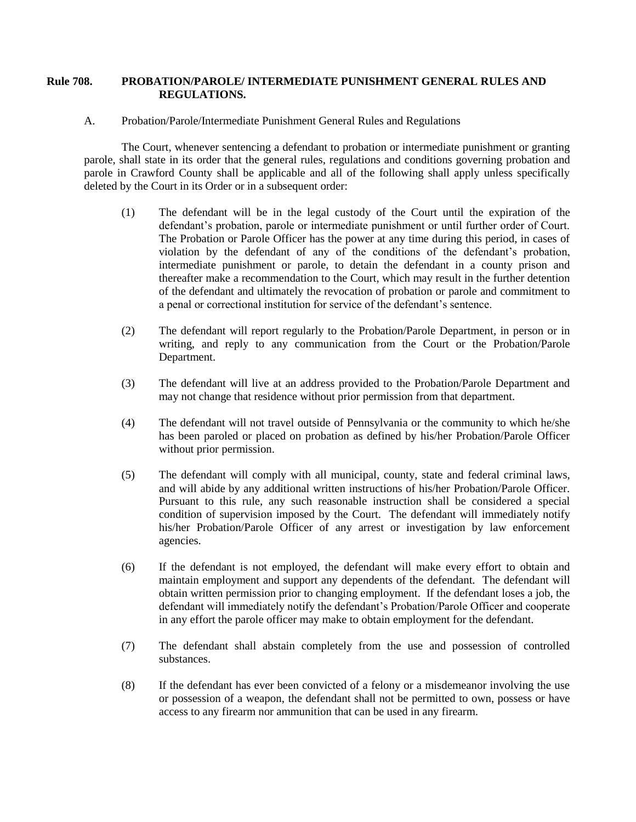## **Rule 708. PROBATION/PAROLE/ INTERMEDIATE PUNISHMENT GENERAL RULES AND REGULATIONS.**

A. Probation/Parole/Intermediate Punishment General Rules and Regulations

The Court, whenever sentencing a defendant to probation or intermediate punishment or granting parole, shall state in its order that the general rules, regulations and conditions governing probation and parole in Crawford County shall be applicable and all of the following shall apply unless specifically deleted by the Court in its Order or in a subsequent order:

- (1) The defendant will be in the legal custody of the Court until the expiration of the defendant's probation, parole or intermediate punishment or until further order of Court. The Probation or Parole Officer has the power at any time during this period, in cases of violation by the defendant of any of the conditions of the defendant's probation, intermediate punishment or parole, to detain the defendant in a county prison and thereafter make a recommendation to the Court, which may result in the further detention of the defendant and ultimately the revocation of probation or parole and commitment to a penal or correctional institution for service of the defendant's sentence.
- (2) The defendant will report regularly to the Probation/Parole Department, in person or in writing, and reply to any communication from the Court or the Probation/Parole Department.
- (3) The defendant will live at an address provided to the Probation/Parole Department and may not change that residence without prior permission from that department.
- (4) The defendant will not travel outside of Pennsylvania or the community to which he/she has been paroled or placed on probation as defined by his/her Probation/Parole Officer without prior permission.
- (5) The defendant will comply with all municipal, county, state and federal criminal laws, and will abide by any additional written instructions of his/her Probation/Parole Officer. Pursuant to this rule, any such reasonable instruction shall be considered a special condition of supervision imposed by the Court. The defendant will immediately notify his/her Probation/Parole Officer of any arrest or investigation by law enforcement agencies.
- (6) If the defendant is not employed, the defendant will make every effort to obtain and maintain employment and support any dependents of the defendant. The defendant will obtain written permission prior to changing employment. If the defendant loses a job, the defendant will immediately notify the defendant's Probation/Parole Officer and cooperate in any effort the parole officer may make to obtain employment for the defendant.
- (7) The defendant shall abstain completely from the use and possession of controlled substances.
- (8) If the defendant has ever been convicted of a felony or a misdemeanor involving the use or possession of a weapon, the defendant shall not be permitted to own, possess or have access to any firearm nor ammunition that can be used in any firearm.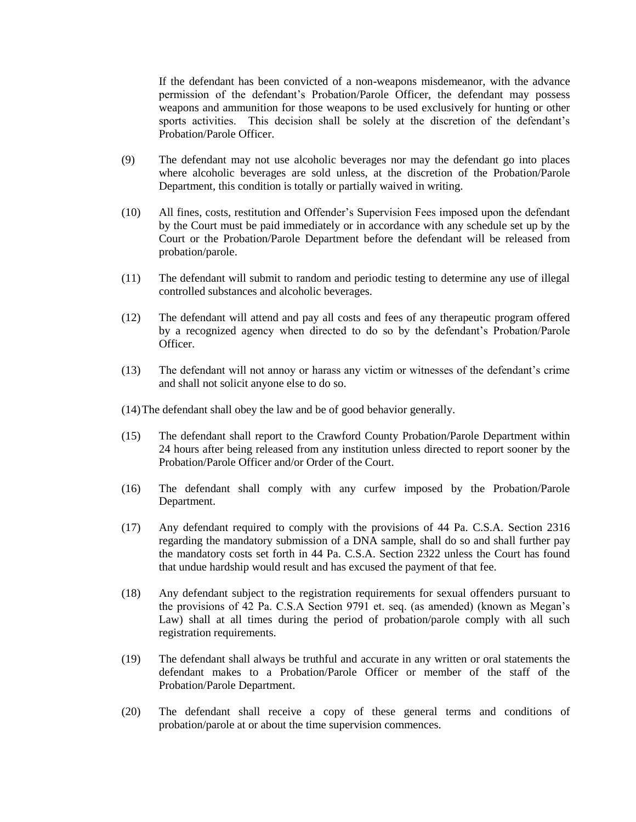If the defendant has been convicted of a non-weapons misdemeanor, with the advance permission of the defendant's Probation/Parole Officer, the defendant may possess weapons and ammunition for those weapons to be used exclusively for hunting or other sports activities. This decision shall be solely at the discretion of the defendant's Probation/Parole Officer.

- (9) The defendant may not use alcoholic beverages nor may the defendant go into places where alcoholic beverages are sold unless, at the discretion of the Probation/Parole Department, this condition is totally or partially waived in writing.
- (10) All fines, costs, restitution and Offender's Supervision Fees imposed upon the defendant by the Court must be paid immediately or in accordance with any schedule set up by the Court or the Probation/Parole Department before the defendant will be released from probation/parole.
- (11) The defendant will submit to random and periodic testing to determine any use of illegal controlled substances and alcoholic beverages.
- (12) The defendant will attend and pay all costs and fees of any therapeutic program offered by a recognized agency when directed to do so by the defendant's Probation/Parole Officer.
- (13) The defendant will not annoy or harass any victim or witnesses of the defendant's crime and shall not solicit anyone else to do so.
- (14)The defendant shall obey the law and be of good behavior generally.
- (15) The defendant shall report to the Crawford County Probation/Parole Department within 24 hours after being released from any institution unless directed to report sooner by the Probation/Parole Officer and/or Order of the Court.
- (16) The defendant shall comply with any curfew imposed by the Probation/Parole Department.
- (17) Any defendant required to comply with the provisions of 44 Pa. C.S.A. Section 2316 regarding the mandatory submission of a DNA sample, shall do so and shall further pay the mandatory costs set forth in 44 Pa. C.S.A. Section 2322 unless the Court has found that undue hardship would result and has excused the payment of that fee.
- (18) Any defendant subject to the registration requirements for sexual offenders pursuant to the provisions of 42 Pa. C.S.A Section 9791 et. seq. (as amended) (known as Megan's Law) shall at all times during the period of probation/parole comply with all such registration requirements.
- (19) The defendant shall always be truthful and accurate in any written or oral statements the defendant makes to a Probation/Parole Officer or member of the staff of the Probation/Parole Department.
- (20) The defendant shall receive a copy of these general terms and conditions of probation/parole at or about the time supervision commences.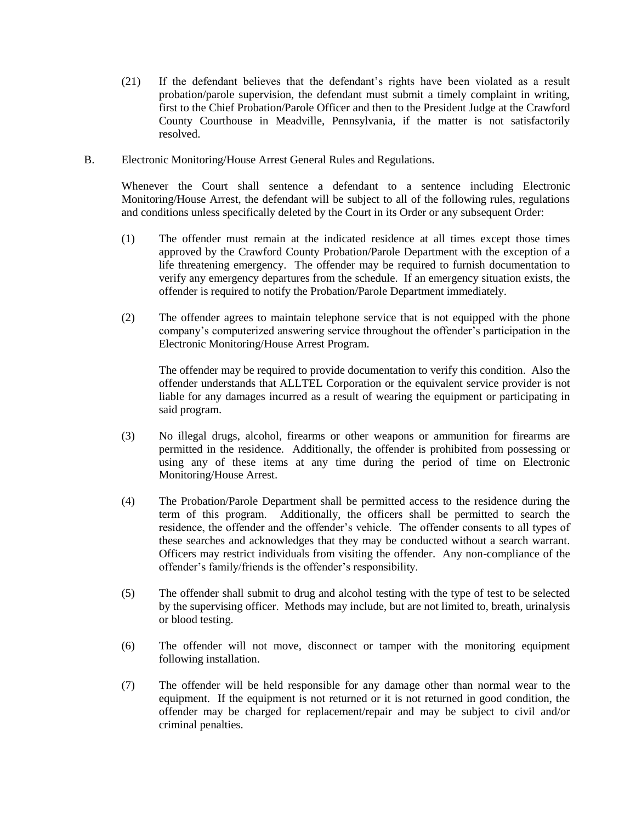- (21) If the defendant believes that the defendant's rights have been violated as a result probation/parole supervision, the defendant must submit a timely complaint in writing, first to the Chief Probation/Parole Officer and then to the President Judge at the Crawford County Courthouse in Meadville, Pennsylvania, if the matter is not satisfactorily resolved.
- B. Electronic Monitoring/House Arrest General Rules and Regulations.

Whenever the Court shall sentence a defendant to a sentence including Electronic Monitoring/House Arrest, the defendant will be subject to all of the following rules, regulations and conditions unless specifically deleted by the Court in its Order or any subsequent Order:

- (1) The offender must remain at the indicated residence at all times except those times approved by the Crawford County Probation/Parole Department with the exception of a life threatening emergency. The offender may be required to furnish documentation to verify any emergency departures from the schedule. If an emergency situation exists, the offender is required to notify the Probation/Parole Department immediately.
- (2) The offender agrees to maintain telephone service that is not equipped with the phone company's computerized answering service throughout the offender's participation in the Electronic Monitoring/House Arrest Program.

The offender may be required to provide documentation to verify this condition. Also the offender understands that ALLTEL Corporation or the equivalent service provider is not liable for any damages incurred as a result of wearing the equipment or participating in said program.

- (3) No illegal drugs, alcohol, firearms or other weapons or ammunition for firearms are permitted in the residence. Additionally, the offender is prohibited from possessing or using any of these items at any time during the period of time on Electronic Monitoring/House Arrest.
- (4) The Probation/Parole Department shall be permitted access to the residence during the term of this program. Additionally, the officers shall be permitted to search the residence, the offender and the offender's vehicle. The offender consents to all types of these searches and acknowledges that they may be conducted without a search warrant. Officers may restrict individuals from visiting the offender. Any non-compliance of the offender's family/friends is the offender's responsibility.
- (5) The offender shall submit to drug and alcohol testing with the type of test to be selected by the supervising officer. Methods may include, but are not limited to, breath, urinalysis or blood testing.
- (6) The offender will not move, disconnect or tamper with the monitoring equipment following installation.
- (7) The offender will be held responsible for any damage other than normal wear to the equipment. If the equipment is not returned or it is not returned in good condition, the offender may be charged for replacement/repair and may be subject to civil and/or criminal penalties.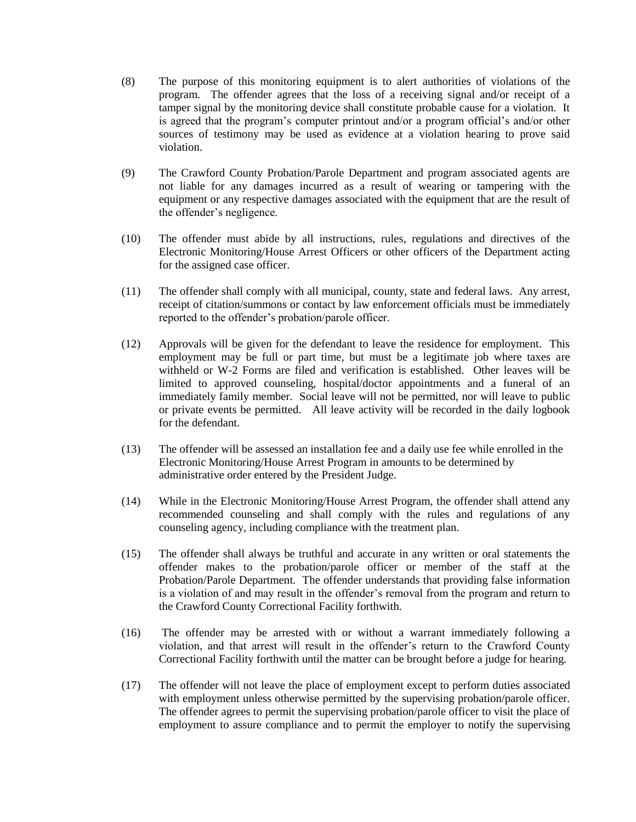- (8) The purpose of this monitoring equipment is to alert authorities of violations of the program. The offender agrees that the loss of a receiving signal and/or receipt of a tamper signal by the monitoring device shall constitute probable cause for a violation. It is agreed that the program's computer printout and/or a program official's and/or other sources of testimony may be used as evidence at a violation hearing to prove said violation.
- (9) The Crawford County Probation/Parole Department and program associated agents are not liable for any damages incurred as a result of wearing or tampering with the equipment or any respective damages associated with the equipment that are the result of the offender's negligence.
- (10) The offender must abide by all instructions, rules, regulations and directives of the Electronic Monitoring/House Arrest Officers or other officers of the Department acting for the assigned case officer.
- (11) The offender shall comply with all municipal, county, state and federal laws. Any arrest, receipt of citation/summons or contact by law enforcement officials must be immediately reported to the offender's probation/parole officer.
- (12) Approvals will be given for the defendant to leave the residence for employment. This employment may be full or part time, but must be a legitimate job where taxes are withheld or W-2 Forms are filed and verification is established. Other leaves will be limited to approved counseling, hospital/doctor appointments and a funeral of an immediately family member. Social leave will not be permitted, nor will leave to public or private events be permitted. All leave activity will be recorded in the daily logbook for the defendant.
- (13) The offender will be assessed an installation fee and a daily use fee while enrolled in the Electronic Monitoring/House Arrest Program in amounts to be determined by administrative order entered by the President Judge.
- (14) While in the Electronic Monitoring/House Arrest Program, the offender shall attend any recommended counseling and shall comply with the rules and regulations of any counseling agency, including compliance with the treatment plan.
- (15) The offender shall always be truthful and accurate in any written or oral statements the offender makes to the probation/parole officer or member of the staff at the Probation/Parole Department. The offender understands that providing false information is a violation of and may result in the offender's removal from the program and return to the Crawford County Correctional Facility forthwith.
- (16) The offender may be arrested with or without a warrant immediately following a violation, and that arrest will result in the offender's return to the Crawford County Correctional Facility forthwith until the matter can be brought before a judge for hearing.
- (17) The offender will not leave the place of employment except to perform duties associated with employment unless otherwise permitted by the supervising probation/parole officer. The offender agrees to permit the supervising probation/parole officer to visit the place of employment to assure compliance and to permit the employer to notify the supervising